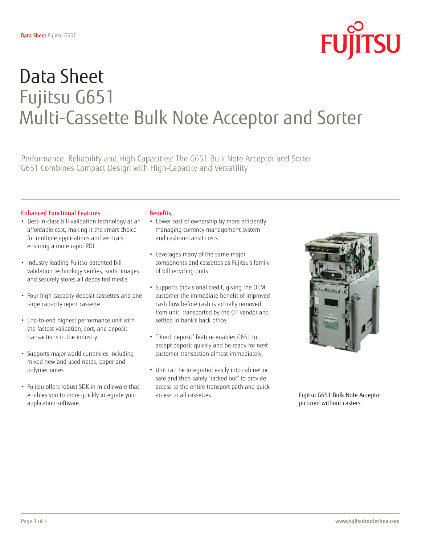

# Data Sheet Fujitsu G651 Multi-Cassette Bulk Note Acceptor and Sorter

Performance, Reliability and High Capacities: The G651 Bulk Note Acceptor and Sorter G651 Combines Compact Design with High-Capacity and Versatility

#### Enhanced Functional Features

- Best-in-class bill validation technology at an affordable cost, making it the smart choice for multiple applications and verticals, ensuring a more rapid ROI
- Industry leading Fujitsu-patented bill validation technology verifies, sorts, images and securely stores all deposited media
- Four high-capacity deposit cassettes and one large capacity reject cassette
- End-to-end highest performance unit with the fastest validation, sort, and deposit transactions in the industry.
- Supports major world currencies including mixed new and used notes, paper and polymer notes
- Fujitsu offers robust SDK in middleware that enables you to more quickly integrate your application software.

### **Benefits**

- Lower cost of ownership by more efficiently managing currency management system and cash-in-transit costs.
- Leverages many of the same major components and cassettes as Fujitsu's family of bill recycling units
- Supports provisional credit, giving the OEM customer the immediate benefit of improved cash flow before cash is actually removed from unit, transported by the CIT vendor and settled in bank's back office.
- "Direct deposit" feature enables G651 to accept deposit quickly and be ready for next customer transaction almost immediately.
- Unit can be integrated easily into cabinet or safe and then safely "racked out" to provide access to the entire transport path and quick access to all cassettes.



Fujitsu G651 Bulk Note Acceptor pictured without casters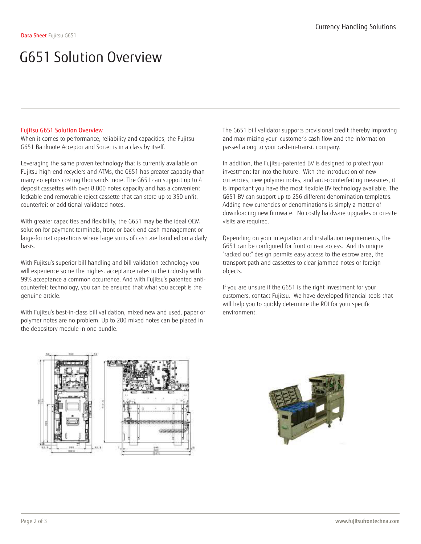#### Fujitsu G651 Solution Overview

When it comes to performance, reliability and capacities, the Fujitsu G651 Banknote Acceptor and Sorter is in a class by itself.

Leveraging the same proven technology that is currently available on Fujitsu high-end recyclers and ATMs, the G651 has greater capacity than many acceptors costing thousands more. The G651 can support up to 4 deposit cassettes with over 8,000 notes capacity and has a convenient lockable and removable reject cassette that can store up to 350 unfit, counterfeit or additional validated notes.

With greater capacities and flexibility, the G651 may be the ideal OEM solution for payment terminals, front or back-end cash management or large-format operations where large sums of cash are handled on a daily basis.

With Fujitsu's superior bill handling and bill validation technology you will experience some the highest acceptance rates in the industry with 99% acceptance a common occurrence. And with Fujitsu's patented anticounterfeit technology, you can be ensured that what you accept is the genuine article.

With Fujitsu's best-in-class bill validation, mixed new and used, paper or polymer notes are no problem. Up to 200 mixed notes can be placed in the depository module in one bundle.

The G651 bill validator supports provisional credit thereby improving and maximizing your customer's cash flow and the information passed along to your cash-in-transit company.

In addition, the Fujitsu-patented BV is designed to protect your investment far into the future. With the introduction of new currencies, new polymer notes, and anti-counterfeiting measures, it is important you have the most flexible BV technology available. The G651 BV can support up to 256 different denomination templates. Adding new currencies or denominations is simply a matter of downloading new firmware. No costly hardware upgrades or on-site visits are required.

Depending on your integration and installation requirements, the G651 can be configured for front or rear access. And its unique "racked out" design permits easy access to the escrow area, the transport path and cassettes to clear jammed notes or foreign objects.

If you are unsure if the G651 is the right investment for your customers, contact Fujitsu. We have developed financial tools that will help you to quickly determine the ROI for your specific environment.